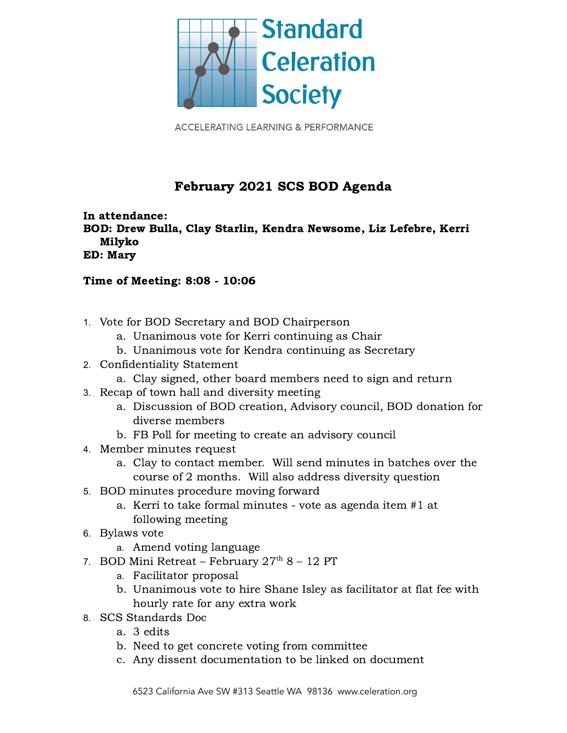

**ACCELERATING LEARNING & PERFORMANCE** 

## February 2021 SCS BOD Agenda

In attendance: BOD: Drew Bulla, Clay Starlin, Kendra Newsome, Liz Lefebre, Kerri Milyko ED: Mary

## Time of Meeting: 8:08 - 10:06

- 1. Vote for BOD Secretary and BOD Chairperson
	- a. Unanimous vote for Kerri continuing as Chair
	- b. Unanimous vote for Kendra continuing as Secretary
- 2. Confidentiality Statement
	- a. Clay signed, other board members need to sign and return
- 3. Recap of town hall and diversity meeting
	- a. Discussion of BOD creation, Advisory council, BOD donation for diverse members
	- b. FB Poll for meeting to create an advisory council
- 4. Member minutes request
	- a. Clay to contact member. Will send minutes in batches over the course of 2 months. Will also address diversity question
- 5. BOD minutes procedure moving forward
	- a. Kerri to take formal minutes vote as agenda item #1 at following meeting
- 6. Bylaws vote
	- a. Amend voting language
- 7. BOD Mini Retreat February  $27<sup>th</sup> 8 12$  PT
	- a. Facilitator proposal
	- b. Unanimous vote to hire Shane Isley as facilitator at flat fee with hourly rate for any extra work
- 8. SCS Standards Doc
	- a. 3 edits
	- b. Need to get concrete voting from committee
	- c. Any dissent documentation to be linked on document